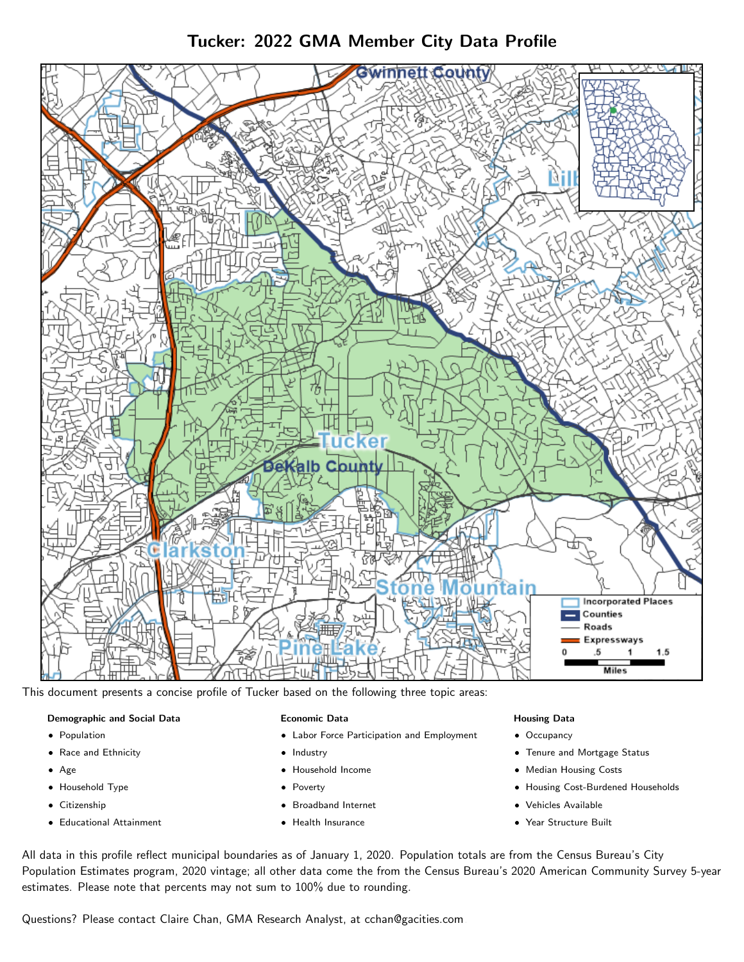Tucker: 2022 GMA Member City Data Profile



This document presents a concise profile of Tucker based on the following three topic areas:

### Demographic and Social Data

- **•** Population
- Race and Ethnicity
- Age
- Household Type
- **Citizenship**
- Educational Attainment

### Economic Data

- Labor Force Participation and Employment
- Industry
- Household Income
- Poverty
- Broadband Internet
- Health Insurance

### Housing Data

- Occupancy
- Tenure and Mortgage Status
- Median Housing Costs
- Housing Cost-Burdened Households
- Vehicles Available
- Year Structure Built

All data in this profile reflect municipal boundaries as of January 1, 2020. Population totals are from the Census Bureau's City Population Estimates program, 2020 vintage; all other data come the from the Census Bureau's 2020 American Community Survey 5-year estimates. Please note that percents may not sum to 100% due to rounding.

Questions? Please contact Claire Chan, GMA Research Analyst, at [cchan@gacities.com.](mailto:cchan@gacities.com)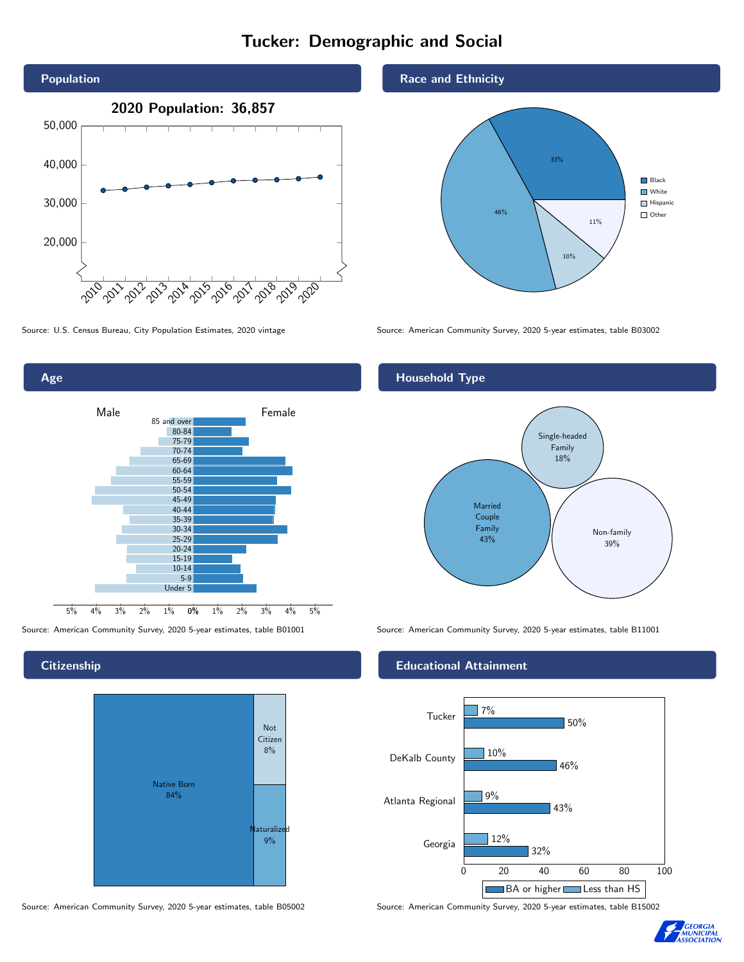# Tucker: Demographic and Social



Age 0% 1% 2% 3% 4% 5% Male <u>Communicular Female</u> 5% 4% 3% 2% 1% 85 and over 80-84 75-79 70-74 65-69 60-64 55-59 50-54 45-49 40-44 35-39 30-34 25-29 20-24 15-19 10-14 5-9 Under 5

## **Citizenship**



Source: American Community Survey, 2020 5-year estimates, table B05002 Source: American Community Survey, 2020 5-year estimates, table B15002

### Race and Ethnicity



Source: U.S. Census Bureau, City Population Estimates, 2020 vintage Source: American Community Survey, 2020 5-year estimates, table B03002

## Household Type



Source: American Community Survey, 2020 5-year estimates, table B01001 Source: American Community Survey, 2020 5-year estimates, table B11001

### Educational Attainment



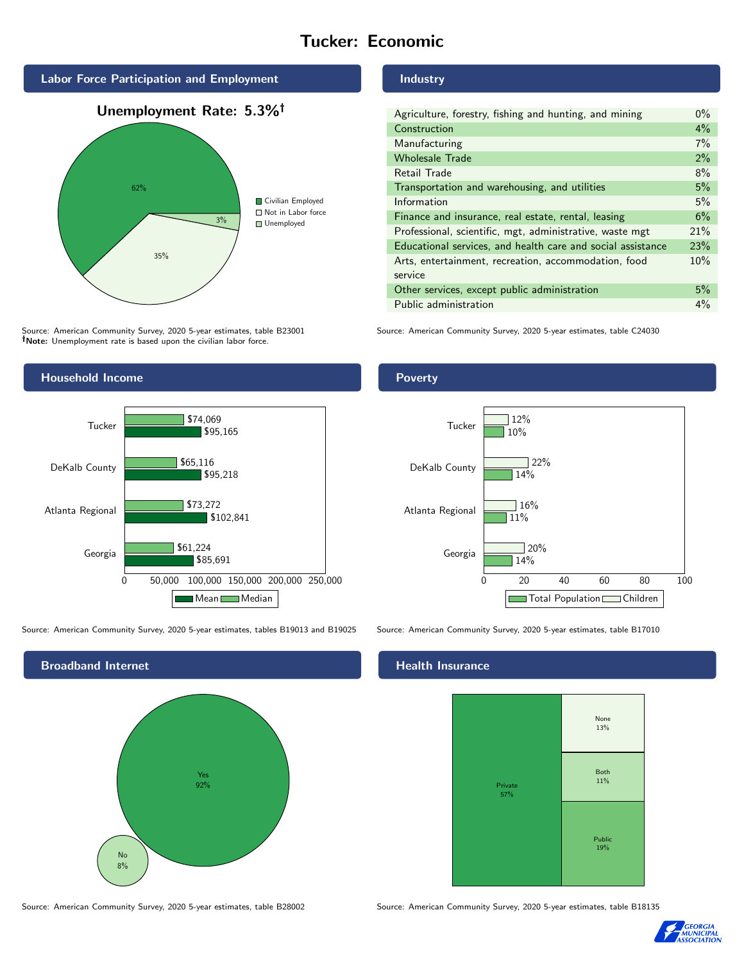# Tucker: Economic



Source: American Community Survey, 2020 5-year estimates, table B23001 Note: Unemployment rate is based upon the civilian labor force.



Source: American Community Survey, 2020 5-year estimates, tables B19013 and B19025 Source: American Community Survey, 2020 5-year estimates, table B17010



### Industry

| Agriculture, forestry, fishing and hunting, and mining      | $0\%$ |
|-------------------------------------------------------------|-------|
| Construction                                                | $4\%$ |
| Manufacturing                                               | 7%    |
| <b>Wholesale Trade</b>                                      | 2%    |
| Retail Trade                                                | 8%    |
| Transportation and warehousing, and utilities               | 5%    |
| Information                                                 | 5%    |
| Finance and insurance, real estate, rental, leasing         | 6%    |
| Professional, scientific, mgt, administrative, waste mgt    | 21%   |
| Educational services, and health care and social assistance | 23%   |
| Arts, entertainment, recreation, accommodation, food        | 10%   |
| service                                                     |       |
| Other services, except public administration                | 5%    |
| Public administration                                       | $4\%$ |

Source: American Community Survey, 2020 5-year estimates, table C24030

### Poverty



## **Health Insurance**



Source: American Community Survey, 2020 5-year estimates, table B28002 Source: American Community Survey, 2020 5-year estimates, table B18135